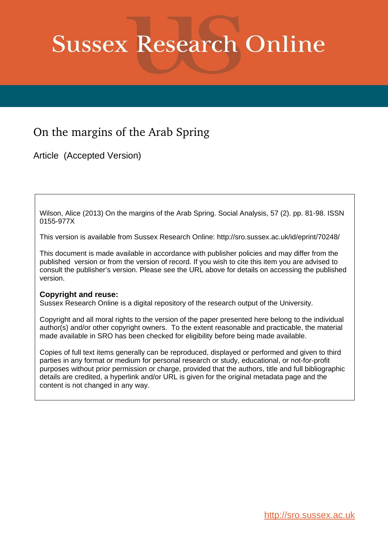# **Sussex Research Online**

# On the margins of the Arab Spring

Article (Accepted Version)

Wilson, Alice (2013) On the margins of the Arab Spring. Social Analysis, 57 (2). pp. 81-98. ISSN 0155-977X

This version is available from Sussex Research Online: http://sro.sussex.ac.uk/id/eprint/70248/

This document is made available in accordance with publisher policies and may differ from the published version or from the version of record. If you wish to cite this item you are advised to consult the publisher's version. Please see the URL above for details on accessing the published version.

# **Copyright and reuse:**

Sussex Research Online is a digital repository of the research output of the University.

Copyright and all moral rights to the version of the paper presented here belong to the individual author(s) and/or other copyright owners. To the extent reasonable and practicable, the material made available in SRO has been checked for eligibility before being made available.

Copies of full text items generally can be reproduced, displayed or performed and given to third parties in any format or medium for personal research or study, educational, or not-for-profit purposes without prior permission or charge, provided that the authors, title and full bibliographic details are credited, a hyperlink and/or URL is given for the original metadata page and the content is not changed in any way.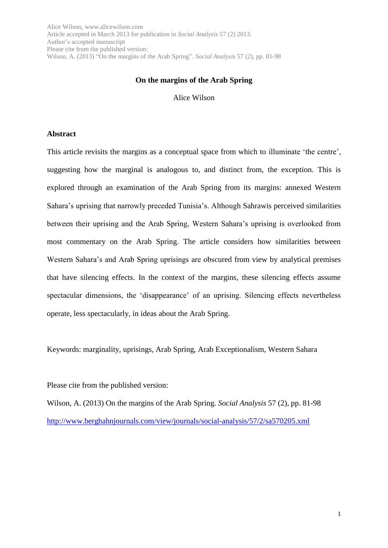#### **On the margins of the Arab Spring**

Alice Wilson

#### **Abstract**

This article revisits the margins as a conceptual space from which to illuminate 'the centre', suggesting how the marginal is analogous to, and distinct from, the exception. This is explored through an examination of the Arab Spring from its margins: annexed Western Sahara's uprising that narrowly preceded Tunisia's. Although Sahrawis perceived similarities between their uprising and the Arab Spring, Western Sahara's uprising is overlooked from most commentary on the Arab Spring. The article considers how similarities between Western Sahara's and Arab Spring uprisings are obscured from view by analytical premises that have silencing effects. In the context of the margins, these silencing effects assume spectacular dimensions, the 'disappearance' of an uprising. Silencing effects nevertheless operate, less spectacularly, in ideas about the Arab Spring.

Keywords: marginality, uprisings, Arab Spring, Arab Exceptionalism, Western Sahara

Please cite from the published version:

Wilson, A. (2013) On the margins of the Arab Spring. *Social Analysis* 57 (2), pp. 81-98 <http://www.berghahnjournals.com/view/journals/social-analysis/57/2/sa570205.xml>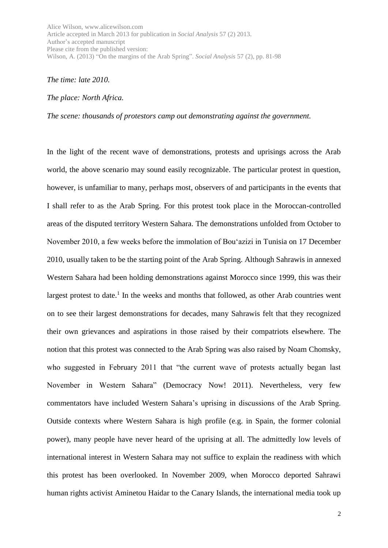*The time: late 2010.*

#### *The place: North Africa.*

*The scene: thousands of protestors camp out demonstrating against the government.*

In the light of the recent wave of demonstrations, protests and uprisings across the Arab world, the above scenario may sound easily recognizable. The particular protest in question, however, is unfamiliar to many, perhaps most, observers of and participants in the events that I shall refer to as the Arab Spring. For this protest took place in the Moroccan-controlled areas of the disputed territory Western Sahara. The demonstrations unfolded from October to November 2010, a few weeks before the immolation of Bou'azizi in Tunisia on 17 December 2010, usually taken to be the starting point of the Arab Spring. Although Sahrawis in annexed Western Sahara had been holding demonstrations against Morocco since 1999, this was their largest protest to date.<sup>1</sup> In the weeks and months that followed, as other Arab countries went on to see their largest demonstrations for decades, many Sahrawis felt that they recognized their own grievances and aspirations in those raised by their compatriots elsewhere. The notion that this protest was connected to the Arab Spring was also raised by Noam Chomsky, who suggested in February 2011 that "the current wave of protests actually began last November in Western Sahara" (Democracy Now! 2011). Nevertheless, very few commentators have included Western Sahara's uprising in discussions of the Arab Spring. Outside contexts where Western Sahara is high profile (e.g. in Spain, the former colonial power), many people have never heard of the uprising at all. The admittedly low levels of international interest in Western Sahara may not suffice to explain the readiness with which this protest has been overlooked. In November 2009, when Morocco deported Sahrawi human rights activist Aminetou Haidar to the Canary Islands, the international media took up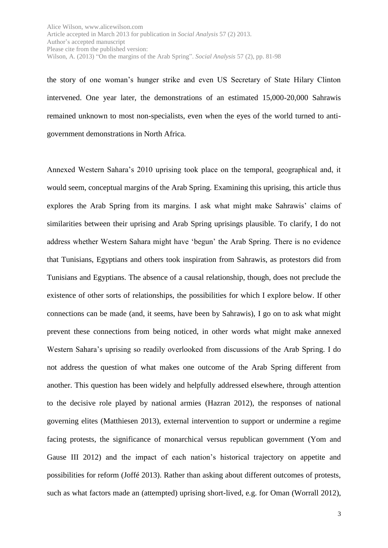the story of one woman's hunger strike and even US Secretary of State Hilary Clinton intervened. One year later, the demonstrations of an estimated 15,000-20,000 Sahrawis remained unknown to most non-specialists, even when the eyes of the world turned to antigovernment demonstrations in North Africa.

Annexed Western Sahara's 2010 uprising took place on the temporal, geographical and, it would seem, conceptual margins of the Arab Spring. Examining this uprising, this article thus explores the Arab Spring from its margins. I ask what might make Sahrawis' claims of similarities between their uprising and Arab Spring uprisings plausible. To clarify, I do not address whether Western Sahara might have 'begun' the Arab Spring. There is no evidence that Tunisians, Egyptians and others took inspiration from Sahrawis, as protestors did from Tunisians and Egyptians. The absence of a causal relationship, though, does not preclude the existence of other sorts of relationships, the possibilities for which I explore below. If other connections can be made (and, it seems, have been by Sahrawis), I go on to ask what might prevent these connections from being noticed, in other words what might make annexed Western Sahara's uprising so readily overlooked from discussions of the Arab Spring. I do not address the question of what makes one outcome of the Arab Spring different from another. This question has been widely and helpfully addressed elsewhere, through attention to the decisive role played by national armies (Hazran 2012), the responses of national governing elites (Matthiesen 2013), external intervention to support or undermine a regime facing protests, the significance of monarchical versus republican government (Yom and Gause III 2012) and the impact of each nation's historical trajectory on appetite and possibilities for reform (Joffé 2013). Rather than asking about different outcomes of protests, such as what factors made an (attempted) uprising short-lived, e.g. for Oman (Worrall 2012),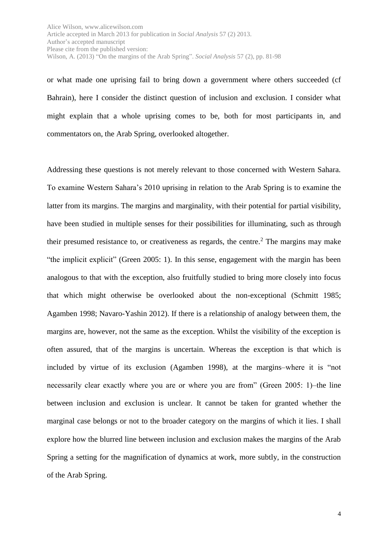or what made one uprising fail to bring down a government where others succeeded (cf Bahrain), here I consider the distinct question of inclusion and exclusion. I consider what might explain that a whole uprising comes to be, both for most participants in, and commentators on, the Arab Spring, overlooked altogether.

Addressing these questions is not merely relevant to those concerned with Western Sahara. To examine Western Sahara's 2010 uprising in relation to the Arab Spring is to examine the latter from its margins. The margins and marginality, with their potential for partial visibility, have been studied in multiple senses for their possibilities for illuminating, such as through their presumed resistance to, or creativeness as regards, the centre.<sup>2</sup> The margins may make "the implicit explicit" (Green 2005: 1). In this sense, engagement with the margin has been analogous to that with the exception, also fruitfully studied to bring more closely into focus that which might otherwise be overlooked about the non-exceptional (Schmitt 1985; Agamben 1998; Navaro-Yashin 2012). If there is a relationship of analogy between them, the margins are, however, not the same as the exception. Whilst the visibility of the exception is often assured, that of the margins is uncertain. Whereas the exception is that which is included by virtue of its exclusion (Agamben 1998), at the margins–where it is "not necessarily clear exactly where you are or where you are from" (Green 2005: 1)–the line between inclusion and exclusion is unclear. It cannot be taken for granted whether the marginal case belongs or not to the broader category on the margins of which it lies. I shall explore how the blurred line between inclusion and exclusion makes the margins of the Arab Spring a setting for the magnification of dynamics at work, more subtly, in the construction of the Arab Spring.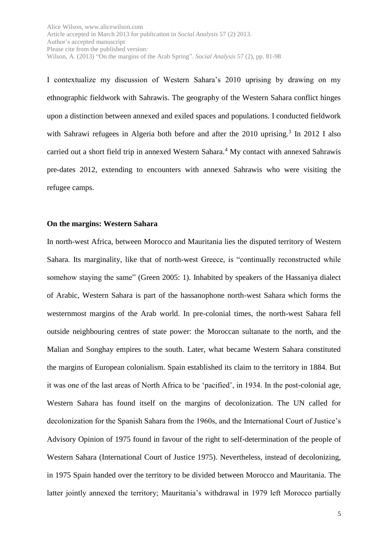I contextualize my discussion of Western Sahara's 2010 uprising by drawing on my ethnographic fieldwork with Sahrawis. The geography of the Western Sahara conflict hinges upon a distinction between annexed and exiled spaces and populations. I conducted fieldwork with Sahrawi refugees in Algeria both before and after the 2010 uprising.<sup>3</sup> In 2012 I also carried out a short field trip in annexed Western Sahara.<sup>4</sup> My contact with annexed Sahrawis pre-dates 2012, extending to encounters with annexed Sahrawis who were visiting the refugee camps.

#### **On the margins: Western Sahara**

In north-west Africa, between Morocco and Mauritania lies the disputed territory of Western Sahara. Its marginality, like that of north-west Greece, is "continually reconstructed while somehow staying the same" (Green 2005: 1). Inhabited by speakers of the Hassaniya dialect of Arabic, Western Sahara is part of the hassanophone north-west Sahara which forms the westernmost margins of the Arab world. In pre-colonial times, the north-west Sahara fell outside neighbouring centres of state power: the Moroccan sultanate to the north, and the Malian and Songhay empires to the south. Later, what became Western Sahara constituted the margins of European colonialism. Spain established its claim to the territory in 1884. But it was one of the last areas of North Africa to be 'pacified', in 1934. In the post-colonial age, Western Sahara has found itself on the margins of decolonization. The UN called for decolonization for the Spanish Sahara from the 1960s, and the International Court of Justice's Advisory Opinion of 1975 found in favour of the right to self-determination of the people of Western Sahara (International Court of Justice 1975). Nevertheless, instead of decolonizing, in 1975 Spain handed over the territory to be divided between Morocco and Mauritania. The latter jointly annexed the territory; Mauritania's withdrawal in 1979 left Morocco partially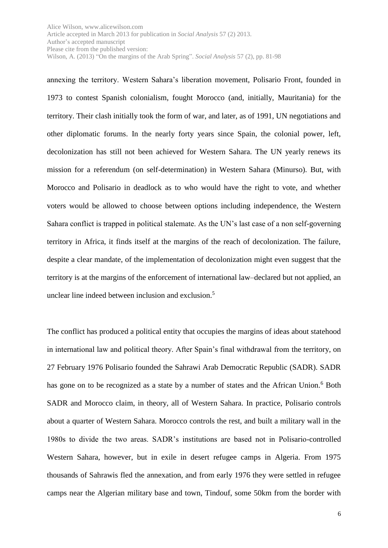annexing the territory. Western Sahara's liberation movement, Polisario Front, founded in 1973 to contest Spanish colonialism, fought Morocco (and, initially, Mauritania) for the territory. Their clash initially took the form of war, and later, as of 1991, UN negotiations and other diplomatic forums. In the nearly forty years since Spain, the colonial power, left, decolonization has still not been achieved for Western Sahara. The UN yearly renews its mission for a referendum (on self-determination) in Western Sahara (Minurso). But, with Morocco and Polisario in deadlock as to who would have the right to vote, and whether voters would be allowed to choose between options including independence, the Western Sahara conflict is trapped in political stalemate. As the UN's last case of a non self-governing territory in Africa, it finds itself at the margins of the reach of decolonization. The failure, despite a clear mandate, of the implementation of decolonization might even suggest that the territory is at the margins of the enforcement of international law–declared but not applied, an unclear line indeed between inclusion and exclusion.<sup>5</sup>

The conflict has produced a political entity that occupies the margins of ideas about statehood in international law and political theory. After Spain's final withdrawal from the territory, on 27 February 1976 Polisario founded the Sahrawi Arab Democratic Republic (SADR). SADR has gone on to be recognized as a state by a number of states and the African Union.<sup>6</sup> Both SADR and Morocco claim, in theory, all of Western Sahara. In practice, Polisario controls about a quarter of Western Sahara. Morocco controls the rest, and built a military wall in the 1980s to divide the two areas. SADR's institutions are based not in Polisario-controlled Western Sahara, however, but in exile in desert refugee camps in Algeria. From 1975 thousands of Sahrawis fled the annexation, and from early 1976 they were settled in refugee camps near the Algerian military base and town, Tindouf, some 50km from the border with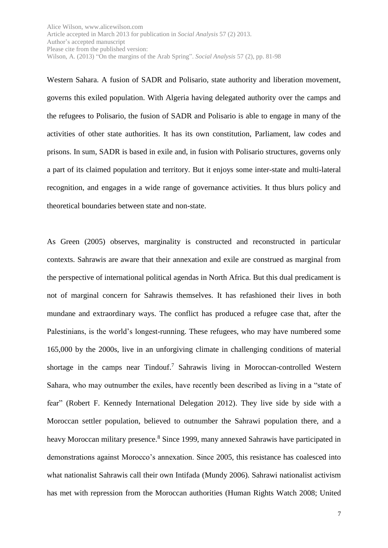Western Sahara. A fusion of SADR and Polisario, state authority and liberation movement, governs this exiled population. With Algeria having delegated authority over the camps and the refugees to Polisario, the fusion of SADR and Polisario is able to engage in many of the activities of other state authorities. It has its own constitution, Parliament, law codes and prisons. In sum, SADR is based in exile and, in fusion with Polisario structures, governs only a part of its claimed population and territory. But it enjoys some inter-state and multi-lateral recognition, and engages in a wide range of governance activities. It thus blurs policy and theoretical boundaries between state and non-state.

As Green (2005) observes, marginality is constructed and reconstructed in particular contexts. Sahrawis are aware that their annexation and exile are construed as marginal from the perspective of international political agendas in North Africa. But this dual predicament is not of marginal concern for Sahrawis themselves. It has refashioned their lives in both mundane and extraordinary ways. The conflict has produced a refugee case that, after the Palestinians, is the world's longest-running. These refugees, who may have numbered some 165,000 by the 2000s, live in an unforgiving climate in challenging conditions of material shortage in the camps near  $Tindouf<sup>7</sup>$  Sahrawis living in Moroccan-controlled Western Sahara, who may outnumber the exiles, have recently been described as living in a "state of fear" (Robert F. Kennedy International Delegation 2012). They live side by side with a Moroccan settler population, believed to outnumber the Sahrawi population there, and a heavy Moroccan military presence.<sup>8</sup> Since 1999, many annexed Sahrawis have participated in demonstrations against Morocco's annexation. Since 2005, this resistance has coalesced into what nationalist Sahrawis call their own Intifada (Mundy 2006). Sahrawi nationalist activism has met with repression from the Moroccan authorities (Human Rights Watch 2008; United

7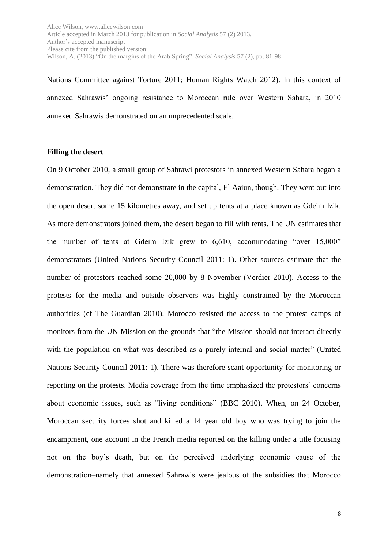Nations Committee against Torture 2011; Human Rights Watch 2012). In this context of annexed Sahrawis' ongoing resistance to Moroccan rule over Western Sahara, in 2010 annexed Sahrawis demonstrated on an unprecedented scale.

#### **Filling the desert**

On 9 October 2010, a small group of Sahrawi protestors in annexed Western Sahara began a demonstration. They did not demonstrate in the capital, El Aaiun, though. They went out into the open desert some 15 kilometres away, and set up tents at a place known as Gdeim Izik. As more demonstrators joined them, the desert began to fill with tents. The UN estimates that the number of tents at Gdeim Izik grew to 6,610, accommodating "over 15,000" demonstrators (United Nations Security Council 2011: 1). Other sources estimate that the number of protestors reached some 20,000 by 8 November (Verdier 2010). Access to the protests for the media and outside observers was highly constrained by the Moroccan authorities (cf The Guardian 2010). Morocco resisted the access to the protest camps of monitors from the UN Mission on the grounds that "the Mission should not interact directly with the population on what was described as a purely internal and social matter" (United Nations Security Council 2011: 1). There was therefore scant opportunity for monitoring or reporting on the protests. Media coverage from the time emphasized the protestors' concerns about economic issues, such as "living conditions" (BBC 2010). When, on 24 October, Moroccan security forces shot and killed a 14 year old boy who was trying to join the encampment, one account in the French media reported on the killing under a title focusing not on the boy's death, but on the perceived underlying economic cause of the demonstration–namely that annexed Sahrawis were jealous of the subsidies that Morocco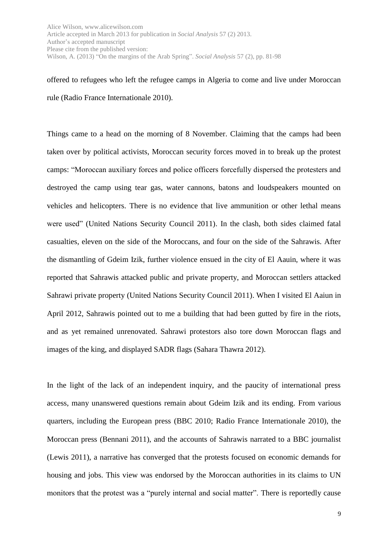offered to refugees who left the refugee camps in Algeria to come and live under Moroccan rule (Radio France Internationale 2010).

Things came to a head on the morning of 8 November. Claiming that the camps had been taken over by political activists, Moroccan security forces moved in to break up the protest camps: "Moroccan auxiliary forces and police officers forcefully dispersed the protesters and destroyed the camp using tear gas, water cannons, batons and loudspeakers mounted on vehicles and helicopters. There is no evidence that live ammunition or other lethal means were used" (United Nations Security Council 2011). In the clash, both sides claimed fatal casualties, eleven on the side of the Moroccans, and four on the side of the Sahrawis. After the dismantling of Gdeim Izik, further violence ensued in the city of El Aauin, where it was reported that Sahrawis attacked public and private property, and Moroccan settlers attacked Sahrawi private property (United Nations Security Council 2011). When I visited El Aaiun in April 2012, Sahrawis pointed out to me a building that had been gutted by fire in the riots, and as yet remained unrenovated. Sahrawi protestors also tore down Moroccan flags and images of the king, and displayed SADR flags (Sahara Thawra 2012).

In the light of the lack of an independent inquiry, and the paucity of international press access, many unanswered questions remain about Gdeim Izik and its ending. From various quarters, including the European press (BBC 2010; Radio France Internationale 2010), the Moroccan press (Bennani 2011), and the accounts of Sahrawis narrated to a BBC journalist (Lewis 2011), a narrative has converged that the protests focused on economic demands for housing and jobs. This view was endorsed by the Moroccan authorities in its claims to UN monitors that the protest was a "purely internal and social matter". There is reportedly cause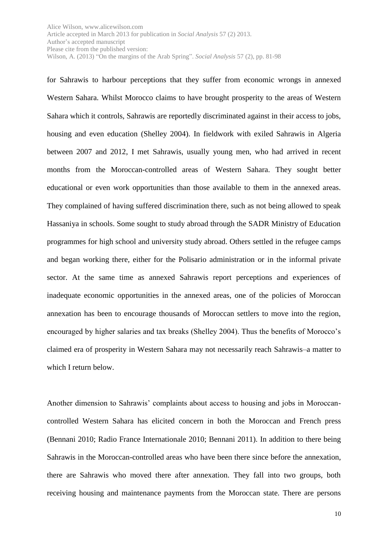for Sahrawis to harbour perceptions that they suffer from economic wrongs in annexed Western Sahara. Whilst Morocco claims to have brought prosperity to the areas of Western Sahara which it controls, Sahrawis are reportedly discriminated against in their access to jobs, housing and even education (Shelley 2004). In fieldwork with exiled Sahrawis in Algeria between 2007 and 2012, I met Sahrawis, usually young men, who had arrived in recent months from the Moroccan-controlled areas of Western Sahara. They sought better educational or even work opportunities than those available to them in the annexed areas. They complained of having suffered discrimination there, such as not being allowed to speak Hassaniya in schools. Some sought to study abroad through the SADR Ministry of Education programmes for high school and university study abroad. Others settled in the refugee camps and began working there, either for the Polisario administration or in the informal private sector. At the same time as annexed Sahrawis report perceptions and experiences of inadequate economic opportunities in the annexed areas, one of the policies of Moroccan annexation has been to encourage thousands of Moroccan settlers to move into the region, encouraged by higher salaries and tax breaks (Shelley 2004). Thus the benefits of Morocco's claimed era of prosperity in Western Sahara may not necessarily reach Sahrawis–a matter to which I return below.

Another dimension to Sahrawis' complaints about access to housing and jobs in Moroccancontrolled Western Sahara has elicited concern in both the Moroccan and French press (Bennani 2010; Radio France Internationale 2010; Bennani 2011). In addition to there being Sahrawis in the Moroccan-controlled areas who have been there since before the annexation, there are Sahrawis who moved there after annexation. They fall into two groups, both receiving housing and maintenance payments from the Moroccan state. There are persons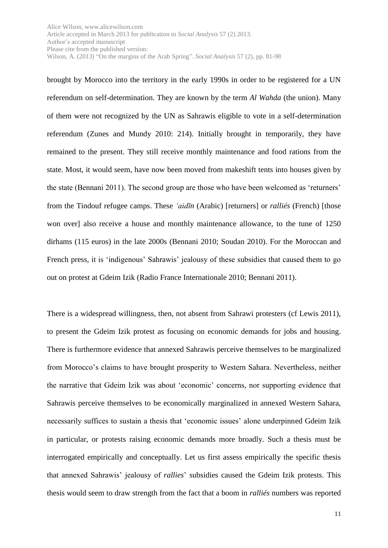brought by Morocco into the territory in the early 1990s in order to be registered for a UN referendum on self-determination. They are known by the term *Al Wahda* (the union). Many of them were not recognized by the UN as Sahrawis eligible to vote in a self-determination referendum (Zunes and Mundy 2010: 214). Initially brought in temporarily, they have remained to the present. They still receive monthly maintenance and food rations from the state. Most, it would seem, have now been moved from makeshift tents into houses given by the state (Bennani 2011). The second group are those who have been welcomed as 'returners' from the Tindouf refugee camps. These *'aidīn* (Arabic) [returners] or *ralliés* (French) [those won over] also receive a house and monthly maintenance allowance, to the tune of 1250 dirhams (115 euros) in the late 2000s (Bennani 2010; Soudan 2010). For the Moroccan and French press, it is 'indigenous' Sahrawis' jealousy of these subsidies that caused them to go out on protest at Gdeim Izik (Radio France Internationale 2010; Bennani 2011).

There is a widespread willingness, then, not absent from Sahrawi protesters (cf Lewis 2011), to present the Gdeim Izik protest as focusing on economic demands for jobs and housing. There is furthermore evidence that annexed Sahrawis perceive themselves to be marginalized from Morocco's claims to have brought prosperity to Western Sahara. Nevertheless, neither the narrative that Gdeim Izik was about 'economic' concerns, nor supporting evidence that Sahrawis perceive themselves to be economically marginalized in annexed Western Sahara, necessarily suffices to sustain a thesis that 'economic issues' alone underpinned Gdeim Izik in particular, or protests raising economic demands more broadly. Such a thesis must be interrogated empirically and conceptually. Let us first assess empirically the specific thesis that annexed Sahrawis' jealousy of *rallies*' subsidies caused the Gdeim Izik protests. This thesis would seem to draw strength from the fact that a boom in *ralliés* numbers was reported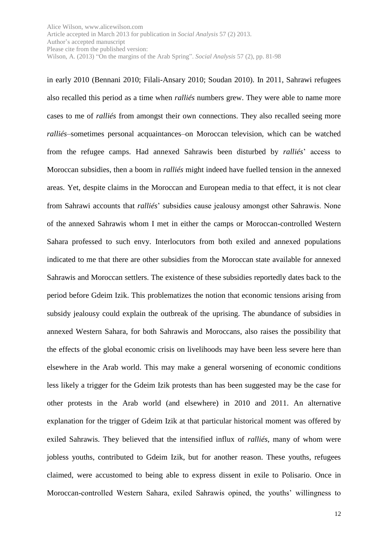in early 2010 (Bennani 2010; Filali-Ansary 2010; Soudan 2010). In 2011, Sahrawi refugees also recalled this period as a time when *ralliés* numbers grew. They were able to name more cases to me of *ralliés* from amongst their own connections. They also recalled seeing more *ralliés*–sometimes personal acquaintances–on Moroccan television, which can be watched from the refugee camps. Had annexed Sahrawis been disturbed by *ralliés*' access to Moroccan subsidies, then a boom in *ralliés* might indeed have fuelled tension in the annexed areas. Yet, despite claims in the Moroccan and European media to that effect, it is not clear from Sahrawi accounts that *ralliés*' subsidies cause jealousy amongst other Sahrawis. None of the annexed Sahrawis whom I met in either the camps or Moroccan-controlled Western Sahara professed to such envy. Interlocutors from both exiled and annexed populations indicated to me that there are other subsidies from the Moroccan state available for annexed Sahrawis and Moroccan settlers. The existence of these subsidies reportedly dates back to the period before Gdeim Izik. This problematizes the notion that economic tensions arising from subsidy jealousy could explain the outbreak of the uprising. The abundance of subsidies in annexed Western Sahara, for both Sahrawis and Moroccans, also raises the possibility that the effects of the global economic crisis on livelihoods may have been less severe here than elsewhere in the Arab world. This may make a general worsening of economic conditions less likely a trigger for the Gdeim Izik protests than has been suggested may be the case for other protests in the Arab world (and elsewhere) in 2010 and 2011. An alternative explanation for the trigger of Gdeim Izik at that particular historical moment was offered by exiled Sahrawis. They believed that the intensified influx of *ralliés*, many of whom were jobless youths, contributed to Gdeim Izik, but for another reason. These youths, refugees claimed, were accustomed to being able to express dissent in exile to Polisario. Once in Moroccan-controlled Western Sahara, exiled Sahrawis opined, the youths' willingness to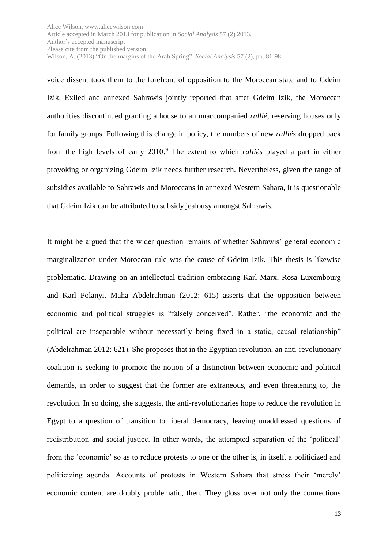voice dissent took them to the forefront of opposition to the Moroccan state and to Gdeim Izik. Exiled and annexed Sahrawis jointly reported that after Gdeim Izik, the Moroccan authorities discontinued granting a house to an unaccompanied *rallié*, reserving houses only for family groups. Following this change in policy, the numbers of new *ralliés* dropped back from the high levels of early 2010. <sup>9</sup> The extent to which *ralliés* played a part in either provoking or organizing Gdeim Izik needs further research. Nevertheless, given the range of subsidies available to Sahrawis and Moroccans in annexed Western Sahara, it is questionable that Gdeim Izik can be attributed to subsidy jealousy amongst Sahrawis.

It might be argued that the wider question remains of whether Sahrawis' general economic marginalization under Moroccan rule was the cause of Gdeim Izik. This thesis is likewise problematic. Drawing on an intellectual tradition embracing Karl Marx, Rosa Luxembourg and Karl Polanyi, Maha Abdelrahman (2012: 615) asserts that the opposition between economic and political struggles is "falsely conceived". Rather, "the economic and the political are inseparable without necessarily being fixed in a static, causal relationship" (Abdelrahman 2012: 621). She proposes that in the Egyptian revolution, an anti-revolutionary coalition is seeking to promote the notion of a distinction between economic and political demands, in order to suggest that the former are extraneous, and even threatening to, the revolution. In so doing, she suggests, the anti-revolutionaries hope to reduce the revolution in Egypt to a question of transition to liberal democracy, leaving unaddressed questions of redistribution and social justice. In other words, the attempted separation of the 'political' from the 'economic' so as to reduce protests to one or the other is, in itself, a politicized and politicizing agenda. Accounts of protests in Western Sahara that stress their 'merely' economic content are doubly problematic, then. They gloss over not only the connections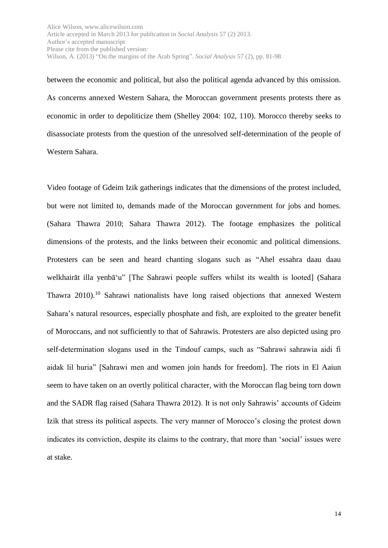between the economic and political, but also the political agenda advanced by this omission. As concerns annexed Western Sahara, the Moroccan government presents protests there as economic in order to depoliticize them (Shelley 2004: 102, 110). Morocco thereby seeks to disassociate protests from the question of the unresolved self-determination of the people of Western Sahara.

Video footage of Gdeim Izik gatherings indicates that the dimensions of the protest included, but were not limited to, demands made of the Moroccan government for jobs and homes. (Sahara Thawra 2010; Sahara Thawra 2012). The footage emphasizes the political dimensions of the protests, and the links between their economic and political dimensions. Protesters can be seen and heard chanting slogans such as "Ahel essahra daau daau welkhairāt illa yenbā'u" [The Sahrawi people suffers whilst its wealth is looted] (Sahara Thawra 2010).<sup>10</sup> Sahrawi nationalists have long raised objections that annexed Western Sahara's natural resources, especially phosphate and fish, are exploited to the greater benefit of Moroccans, and not sufficiently to that of Sahrawis. Protesters are also depicted using pro self-determination slogans used in the Tindouf camps, such as "Sahrawi sahrawia aidi fi aidak lil huria" [Sahrawi men and women join hands for freedom]. The riots in El Aaiun seem to have taken on an overtly political character, with the Moroccan flag being torn down and the SADR flag raised (Sahara Thawra 2012). It is not only Sahrawis' accounts of Gdeim Izik that stress its political aspects. The very manner of Morocco's closing the protest down indicates its conviction, despite its claims to the contrary, that more than 'social' issues were at stake.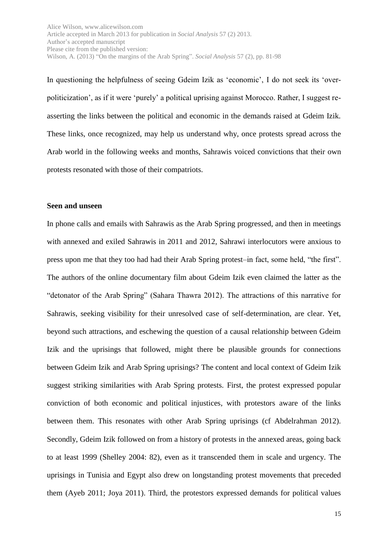In questioning the helpfulness of seeing Gdeim Izik as 'economic', I do not seek its 'overpoliticization', as if it were 'purely' a political uprising against Morocco. Rather, I suggest reasserting the links between the political and economic in the demands raised at Gdeim Izik. These links, once recognized, may help us understand why, once protests spread across the Arab world in the following weeks and months, Sahrawis voiced convictions that their own protests resonated with those of their compatriots.

#### **Seen and unseen**

In phone calls and emails with Sahrawis as the Arab Spring progressed, and then in meetings with annexed and exiled Sahrawis in 2011 and 2012, Sahrawi interlocutors were anxious to press upon me that they too had had their Arab Spring protest–in fact, some held, "the first". The authors of the online documentary film about Gdeim Izik even claimed the latter as the "detonator of the Arab Spring" (Sahara Thawra 2012). The attractions of this narrative for Sahrawis, seeking visibility for their unresolved case of self-determination, are clear. Yet, beyond such attractions, and eschewing the question of a causal relationship between Gdeim Izik and the uprisings that followed, might there be plausible grounds for connections between Gdeim Izik and Arab Spring uprisings? The content and local context of Gdeim Izik suggest striking similarities with Arab Spring protests. First, the protest expressed popular conviction of both economic and political injustices, with protestors aware of the links between them. This resonates with other Arab Spring uprisings (cf Abdelrahman 2012). Secondly, Gdeim Izik followed on from a history of protests in the annexed areas, going back to at least 1999 (Shelley 2004: 82), even as it transcended them in scale and urgency. The uprisings in Tunisia and Egypt also drew on longstanding protest movements that preceded them (Ayeb 2011; Joya 2011). Third, the protestors expressed demands for political values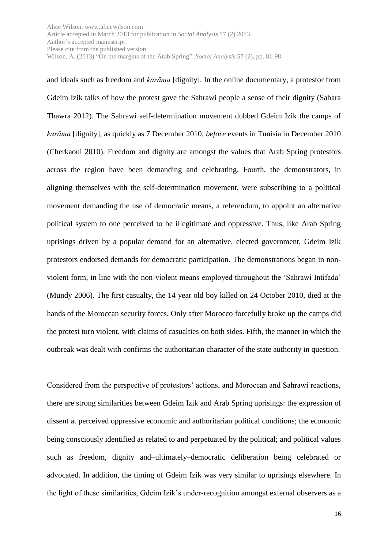and ideals such as freedom and *karāma* [dignity]. In the online documentary, a protestor from Gdeim Izik talks of how the protest gave the Sahrawi people a sense of their dignity (Sahara Thawra 2012). The Sahrawi self-determination movement dubbed Gdeim Izik the camps of *karāma* [dignity], as quickly as 7 December 2010, *before* events in Tunisia in December 2010 (Cherkaoui 2010). Freedom and dignity are amongst the values that Arab Spring protestors across the region have been demanding and celebrating. Fourth, the demonstrators, in aligning themselves with the self-determination movement, were subscribing to a political movement demanding the use of democratic means, a referendum, to appoint an alternative political system to one perceived to be illegitimate and oppressive. Thus, like Arab Spring uprisings driven by a popular demand for an alternative, elected government, Gdeim Izik protestors endorsed demands for democratic participation. The demonstrations began in nonviolent form, in line with the non-violent means employed throughout the 'Sahrawi Intifada' (Mundy 2006). The first casualty, the 14 year old boy killed on 24 October 2010, died at the hands of the Moroccan security forces. Only after Morocco forcefully broke up the camps did the protest turn violent, with claims of casualties on both sides. Fifth, the manner in which the outbreak was dealt with confirms the authoritarian character of the state authority in question.

Considered from the perspective of protestors' actions, and Moroccan and Sahrawi reactions, there are strong similarities between Gdeim Izik and Arab Spring uprisings: the expression of dissent at perceived oppressive economic and authoritarian political conditions; the economic being consciously identified as related to and perpetuated by the political; and political values such as freedom, dignity and–ultimately–democratic deliberation being celebrated or advocated. In addition, the timing of Gdeim Izik was very similar to uprisings elsewhere. In the light of these similarities, Gdeim Izik's under-recognition amongst external observers as a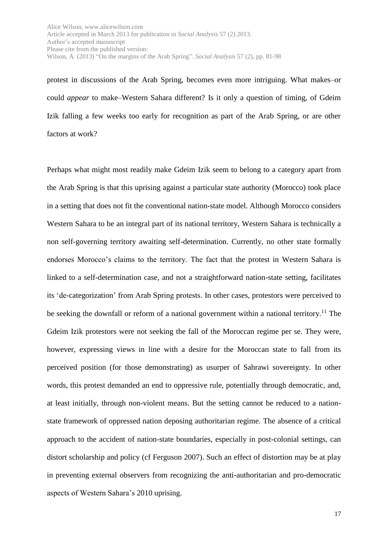protest in discussions of the Arab Spring, becomes even more intriguing. What makes–or could *appear* to make–Western Sahara different? Is it only a question of timing, of Gdeim Izik falling a few weeks too early for recognition as part of the Arab Spring, or are other factors at work?

Perhaps what might most readily make Gdeim Izik seem to belong to a category apart from the Arab Spring is that this uprising against a particular state authority (Morocco) took place in a setting that does not fit the conventional nation-state model. Although Morocco considers Western Sahara to be an integral part of its national territory, Western Sahara is technically a non self-governing territory awaiting self-determination. Currently, no other state formally endorses Morocco's claims to the territory. The fact that the protest in Western Sahara is linked to a self-determination case, and not a straightforward nation-state setting, facilitates its 'de-categorization' from Arab Spring protests. In other cases, protestors were perceived to be seeking the downfall or reform of a national government within a national territory.<sup>11</sup> The Gdeim Izik protestors were not seeking the fall of the Moroccan regime per se. They were, however, expressing views in line with a desire for the Moroccan state to fall from its perceived position (for those demonstrating) as usurper of Sahrawi sovereignty. In other words, this protest demanded an end to oppressive rule, potentially through democratic, and, at least initially, through non-violent means. But the setting cannot be reduced to a nationstate framework of oppressed nation deposing authoritarian regime. The absence of a critical approach to the accident of nation-state boundaries, especially in post-colonial settings, can distort scholarship and policy (cf Ferguson 2007). Such an effect of distortion may be at play in preventing external observers from recognizing the anti-authoritarian and pro-democratic aspects of Western Sahara's 2010 uprising.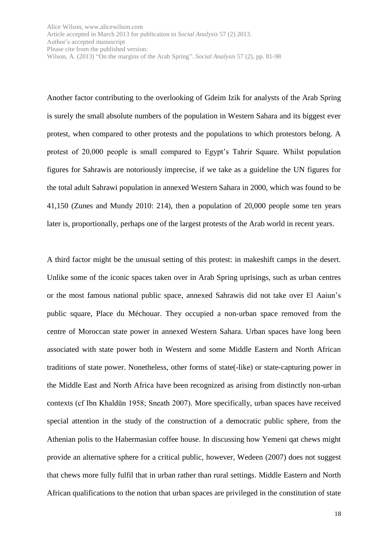Another factor contributing to the overlooking of Gdeim Izik for analysts of the Arab Spring is surely the small absolute numbers of the population in Western Sahara and its biggest ever protest, when compared to other protests and the populations to which protestors belong. A protest of 20,000 people is small compared to Egypt's Tahrir Square. Whilst population figures for Sahrawis are notoriously imprecise, if we take as a guideline the UN figures for the total adult Sahrawi population in annexed Western Sahara in 2000, which was found to be 41,150 (Zunes and Mundy 2010: 214), then a population of 20,000 people some ten years later is, proportionally, perhaps one of the largest protests of the Arab world in recent years.

A third factor might be the unusual setting of this protest: in makeshift camps in the desert. Unlike some of the iconic spaces taken over in Arab Spring uprisings, such as urban centres or the most famous national public space, annexed Sahrawis did not take over El Aaiun's public square, Place du Méchouar. They occupied a non-urban space removed from the centre of Moroccan state power in annexed Western Sahara. Urban spaces have long been associated with state power both in Western and some Middle Eastern and North African traditions of state power. Nonetheless, other forms of state(-like) or state-capturing power in the Middle East and North Africa have been recognized as arising from distinctly non-urban contexts (cf Ibn Khaldūn 1958; Sneath 2007). More specifically, urban spaces have received special attention in the study of the construction of a democratic public sphere, from the Athenian polis to the Habermasian coffee house. In discussing how Yemeni qat chews might provide an alternative sphere for a critical public, however, Wedeen (2007) does not suggest that chews more fully fulfil that in urban rather than rural settings. Middle Eastern and North African qualifications to the notion that urban spaces are privileged in the constitution of state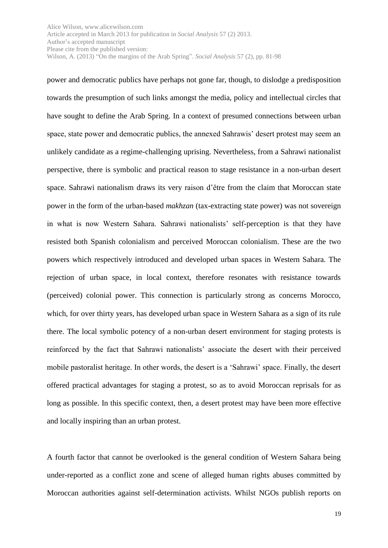power and democratic publics have perhaps not gone far, though, to dislodge a predisposition towards the presumption of such links amongst the media, policy and intellectual circles that have sought to define the Arab Spring. In a context of presumed connections between urban space, state power and democratic publics, the annexed Sahrawis' desert protest may seem an unlikely candidate as a regime-challenging uprising. Nevertheless, from a Sahrawi nationalist perspective, there is symbolic and practical reason to stage resistance in a non-urban desert space. Sahrawi nationalism draws its very raison d'être from the claim that Moroccan state power in the form of the urban-based *makhzan* (tax-extracting state power) was not sovereign in what is now Western Sahara. Sahrawi nationalists' self-perception is that they have resisted both Spanish colonialism and perceived Moroccan colonialism. These are the two powers which respectively introduced and developed urban spaces in Western Sahara. The rejection of urban space, in local context, therefore resonates with resistance towards (perceived) colonial power. This connection is particularly strong as concerns Morocco, which, for over thirty years, has developed urban space in Western Sahara as a sign of its rule there. The local symbolic potency of a non-urban desert environment for staging protests is reinforced by the fact that Sahrawi nationalists' associate the desert with their perceived mobile pastoralist heritage. In other words, the desert is a 'Sahrawi' space. Finally, the desert offered practical advantages for staging a protest, so as to avoid Moroccan reprisals for as long as possible. In this specific context, then, a desert protest may have been more effective and locally inspiring than an urban protest.

A fourth factor that cannot be overlooked is the general condition of Western Sahara being under-reported as a conflict zone and scene of alleged human rights abuses committed by Moroccan authorities against self-determination activists. Whilst NGOs publish reports on

19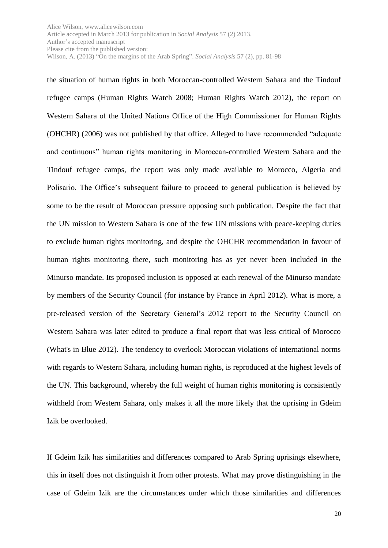the situation of human rights in both Moroccan-controlled Western Sahara and the Tindouf refugee camps (Human Rights Watch 2008; Human Rights Watch 2012), the report on Western Sahara of the United Nations Office of the High Commissioner for Human Rights (OHCHR) (2006) was not published by that office. Alleged to have recommended "adequate and continuous" human rights monitoring in Moroccan-controlled Western Sahara and the Tindouf refugee camps, the report was only made available to Morocco, Algeria and Polisario. The Office's subsequent failure to proceed to general publication is believed by some to be the result of Moroccan pressure opposing such publication. Despite the fact that the UN mission to Western Sahara is one of the few UN missions with peace-keeping duties to exclude human rights monitoring, and despite the OHCHR recommendation in favour of human rights monitoring there, such monitoring has as yet never been included in the Minurso mandate. Its proposed inclusion is opposed at each renewal of the Minurso mandate by members of the Security Council (for instance by France in April 2012). What is more, a pre-released version of the Secretary General's 2012 report to the Security Council on Western Sahara was later edited to produce a final report that was less critical of Morocco (What's in Blue 2012). The tendency to overlook Moroccan violations of international norms with regards to Western Sahara, including human rights, is reproduced at the highest levels of the UN. This background, whereby the full weight of human rights monitoring is consistently withheld from Western Sahara, only makes it all the more likely that the uprising in Gdeim Izik be overlooked.

If Gdeim Izik has similarities and differences compared to Arab Spring uprisings elsewhere, this in itself does not distinguish it from other protests. What may prove distinguishing in the case of Gdeim Izik are the circumstances under which those similarities and differences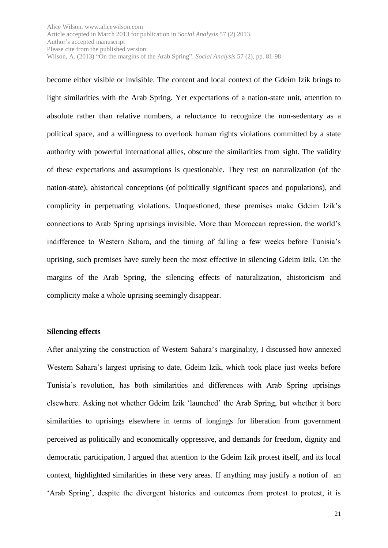become either visible or invisible. The content and local context of the Gdeim Izik brings to light similarities with the Arab Spring. Yet expectations of a nation-state unit, attention to absolute rather than relative numbers, a reluctance to recognize the non-sedentary as a political space, and a willingness to overlook human rights violations committed by a state authority with powerful international allies, obscure the similarities from sight. The validity of these expectations and assumptions is questionable. They rest on naturalization (of the nation-state), ahistorical conceptions (of politically significant spaces and populations), and complicity in perpetuating violations. Unquestioned, these premises make Gdeim Izik's connections to Arab Spring uprisings invisible. More than Moroccan repression, the world's indifference to Western Sahara, and the timing of falling a few weeks before Tunisia's uprising, such premises have surely been the most effective in silencing Gdeim Izik. On the margins of the Arab Spring, the silencing effects of naturalization, ahistoricism and complicity make a whole uprising seemingly disappear.

### **Silencing effects**

After analyzing the construction of Western Sahara's marginality, I discussed how annexed Western Sahara's largest uprising to date, Gdeim Izik, which took place just weeks before Tunisia's revolution, has both similarities and differences with Arab Spring uprisings elsewhere. Asking not whether Gdeim Izik 'launched' the Arab Spring, but whether it bore similarities to uprisings elsewhere in terms of longings for liberation from government perceived as politically and economically oppressive, and demands for freedom, dignity and democratic participation, I argued that attention to the Gdeim Izik protest itself, and its local context, highlighted similarities in these very areas. If anything may justify a notion of an 'Arab Spring', despite the divergent histories and outcomes from protest to protest, it is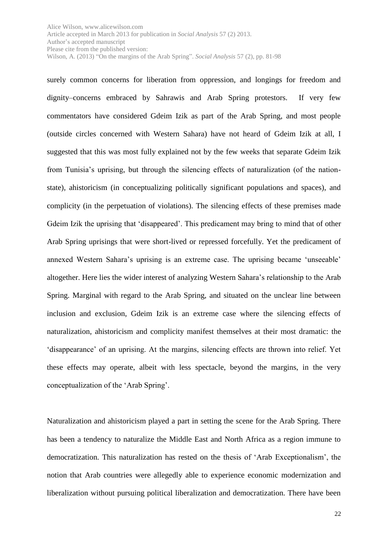surely common concerns for liberation from oppression, and longings for freedom and dignity–concerns embraced by Sahrawis and Arab Spring protestors. If very few commentators have considered Gdeim Izik as part of the Arab Spring, and most people (outside circles concerned with Western Sahara) have not heard of Gdeim Izik at all, I suggested that this was most fully explained not by the few weeks that separate Gdeim Izik from Tunisia's uprising, but through the silencing effects of naturalization (of the nationstate), ahistoricism (in conceptualizing politically significant populations and spaces), and complicity (in the perpetuation of violations). The silencing effects of these premises made Gdeim Izik the uprising that 'disappeared'. This predicament may bring to mind that of other Arab Spring uprisings that were short-lived or repressed forcefully. Yet the predicament of annexed Western Sahara's uprising is an extreme case. The uprising became 'unseeable' altogether. Here lies the wider interest of analyzing Western Sahara's relationship to the Arab Spring. Marginal with regard to the Arab Spring, and situated on the unclear line between inclusion and exclusion, Gdeim Izik is an extreme case where the silencing effects of naturalization, ahistoricism and complicity manifest themselves at their most dramatic: the 'disappearance' of an uprising. At the margins, silencing effects are thrown into relief. Yet these effects may operate, albeit with less spectacle, beyond the margins, in the very conceptualization of the 'Arab Spring'.

Naturalization and ahistoricism played a part in setting the scene for the Arab Spring. There has been a tendency to naturalize the Middle East and North Africa as a region immune to democratization. This naturalization has rested on the thesis of 'Arab Exceptionalism', the notion that Arab countries were allegedly able to experience economic modernization and liberalization without pursuing political liberalization and democratization. There have been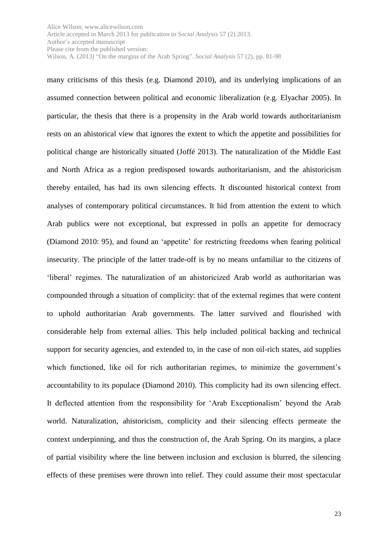many criticisms of this thesis (e.g. Diamond 2010), and its underlying implications of an assumed connection between political and economic liberalization (e.g. Elyachar 2005). In particular, the thesis that there is a propensity in the Arab world towards authoritarianism rests on an ahistorical view that ignores the extent to which the appetite and possibilities for political change are historically situated (Joffé 2013). The naturalization of the Middle East and North Africa as a region predisposed towards authoritarianism, and the ahistoricism thereby entailed, has had its own silencing effects. It discounted historical context from analyses of contemporary political circumstances. It hid from attention the extent to which Arab publics were not exceptional, but expressed in polls an appetite for democracy (Diamond 2010: 95), and found an 'appetite' for restricting freedoms when fearing political insecurity. The principle of the latter trade-off is by no means unfamiliar to the citizens of 'liberal' regimes. The naturalization of an ahistoricized Arab world as authoritarian was compounded through a situation of complicity: that of the external regimes that were content to uphold authoritarian Arab governments. The latter survived and flourished with considerable help from external allies. This help included political backing and technical support for security agencies, and extended to, in the case of non oil-rich states, aid supplies which functioned, like oil for rich authoritarian regimes, to minimize the government's accountability to its populace (Diamond 2010). This complicity had its own silencing effect. It deflected attention from the responsibility for 'Arab Exceptionalism' beyond the Arab world. Naturalization, ahistoricism, complicity and their silencing effects permeate the context underpinning, and thus the construction of, the Arab Spring. On its margins, a place of partial visibility where the line between inclusion and exclusion is blurred, the silencing effects of these premises were thrown into relief. They could assume their most spectacular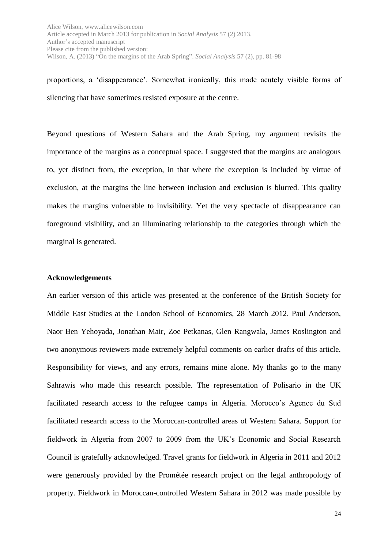proportions, a 'disappearance'. Somewhat ironically, this made acutely visible forms of silencing that have sometimes resisted exposure at the centre.

Beyond questions of Western Sahara and the Arab Spring, my argument revisits the importance of the margins as a conceptual space. I suggested that the margins are analogous to, yet distinct from, the exception, in that where the exception is included by virtue of exclusion, at the margins the line between inclusion and exclusion is blurred. This quality makes the margins vulnerable to invisibility. Yet the very spectacle of disappearance can foreground visibility, and an illuminating relationship to the categories through which the marginal is generated.

#### **Acknowledgements**

An earlier version of this article was presented at the conference of the British Society for Middle East Studies at the London School of Economics, 28 March 2012. Paul Anderson, Naor Ben Yehoyada, Jonathan Mair, Zoe Petkanas, Glen Rangwala, James Roslington and two anonymous reviewers made extremely helpful comments on earlier drafts of this article. Responsibility for views, and any errors, remains mine alone. My thanks go to the many Sahrawis who made this research possible. The representation of Polisario in the UK facilitated research access to the refugee camps in Algeria. Morocco's Agence du Sud facilitated research access to the Moroccan-controlled areas of Western Sahara. Support for fieldwork in Algeria from 2007 to 2009 from the UK's Economic and Social Research Council is gratefully acknowledged. Travel grants for fieldwork in Algeria in 2011 and 2012 were generously provided by the Prométée research project on the legal anthropology of property. Fieldwork in Moroccan-controlled Western Sahara in 2012 was made possible by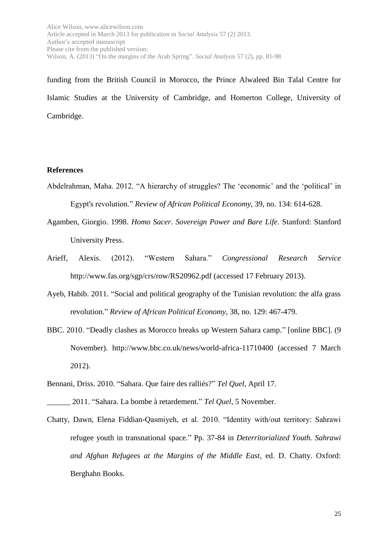funding from the British Council in Morocco, the Prince Alwaleed Bin Talal Centre for Islamic Studies at the University of Cambridge, and Homerton College, University of Cambridge.

## **References**

- Abdelrahman, Maha. 2012. "A hierarchy of struggles? The 'economic' and the 'political' in Egypt's revolution." *Review of African Political Economy*, 39, no. 134: 614-628.
- Agamben, Giorgio. 1998. *Homo Sacer. Sovereign Power and Bare Life*. Stanford: Stanford University Press.
- Arieff, Alexis. (2012). "Western Sahara." *Congressional Research Service* http://www.fas.org/sgp/crs/row/RS20962.pdf (accessed 17 February 2013).
- Ayeb, Habib. 2011. "Social and political geography of the Tunisian revolution: the alfa grass revolution." *Review of African Political Economy*, 38, no. 129: 467-479.
- BBC. 2010. "Deadly clashes as Morocco breaks up Western Sahara camp." [online BBC]. (9 November). http://www.bbc.co.uk/news/world-africa-11710400 (accessed 7 March 2012).
- Bennani, Driss. 2010. "Sahara. Que faire des ralliés?" *Tel Quel*, April 17.
- \_\_\_\_\_\_ 2011. "Sahara. La bombe à retardement." *Tel Quel*, 5 November.
- Chatty, Dawn, Elena Fiddian-Qasmiyeh, et al. 2010. "Identity with/out territory: Sahrawi refugee youth in transnational space." Pp. 37-84 in *Deterritorialized Youth. Sahrawi and Afghan Refugees at the Margins of the Middle East*, ed. D. Chatty. Oxford: Berghahn Books.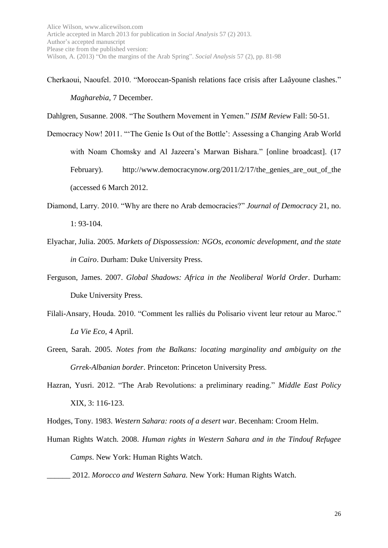Cherkaoui, Naoufel. 2010. "Moroccan-Spanish relations face crisis after Laâyoune clashes." *Magharebia*, 7 December.

Dahlgren, Susanne. 2008. "The Southern Movement in Yemen." *ISIM Review* Fall: 50-51.

- Democracy Now! 2011. "'The Genie Is Out of the Bottle': Assessing a Changing Arab World with Noam Chomsky and Al Jazeera's Marwan Bishara." [online broadcast]. (17 February). http://www.democracynow.org/2011/2/17/the genies are out of the (accessed 6 March 2012.
- Diamond, Larry. 2010. "Why are there no Arab democracies?" *Journal of Democracy* 21, no. 1: 93-104.
- Elyachar, Julia. 2005. *Markets of Dispossession: NGOs, economic development, and the state in Cairo*. Durham: Duke University Press.
- Ferguson, James. 2007. *Global Shadows: Africa in the Neoliberal World Order*. Durham: Duke University Press.
- Filali-Ansary, Houda. 2010. "Comment les ralliés du Polisario vivent leur retour au Maroc." *La Vie Eco*, 4 April.
- Green, Sarah. 2005. *Notes from the Balkans: locating marginality and ambiguity on the Grrek-Albanian border*. Princeton: Princeton University Press.
- Hazran, Yusri. 2012. "The Arab Revolutions: a preliminary reading." *Middle East Policy* XIX, 3: 116-123.

Hodges, Tony. 1983. *Western Sahara: roots of a desert war*. Becenham: Croom Helm.

Human Rights Watch. 2008. *Human rights in Western Sahara and in the Tindouf Refugee Camps*. New York: Human Rights Watch.

\_\_\_\_\_\_ 2012. *Morocco and Western Sahara.* New York: Human Rights Watch.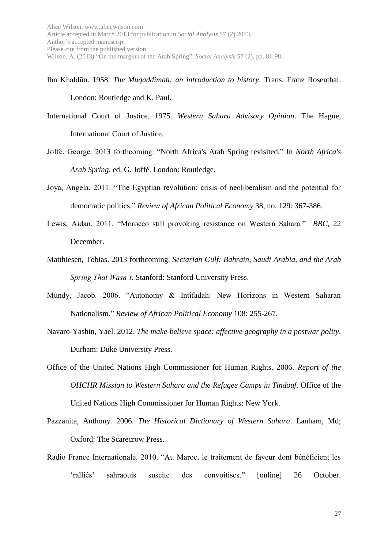- Ibn Khaldūn. 1958. *The Muqaddimah: an introduction to history*. Trans. Franz Rosenthal. London: Routledge and K. Paul.
- International Court of Justice. 1975. *Western Sahara Advisory Opinion*. The Hague, International Court of Justice.
- Joffé, George. 2013 forthcoming. "North Africa's Arab Spring revisited." In *North Africa's Arab Spring*, ed. G. Joffé. London: Routledge.
- Joya, Angela. 2011. "The Egyptian revolution: crisis of neoliberalism and the potential for democratic politics." *Review of African Political Economy* 38, no. 129: 367-386.
- Lewis, Aidan. 2011. "Morocco still provoking resistance on Western Sahara." *BBC*, 22 December.
- Matthiesen, Tobias. 2013 forthcoming. *Sectarian Gulf: Bahrain, Saudi Arabia, and the Arab Spring That Wasn't*. Stanford: Stanford University Press.
- Mundy, Jacob. 2006. "Autonomy & Intifadah: New Horizons in Western Saharan Nationalism." *Review of African Political Economy* 108: 255-267.
- Navaro-Yashin, Yael. 2012. *The make-believe space: affective geography in a postwar polity*. Durham: Duke University Press.
- Office of the United Nations High Commissioner for Human Rights. 2006. *Report of the OHCHR Mission to Western Sahara and the Refugee Camps in Tindouf*. Office of the United Nations High Commissioner for Human Rights: New York.
- Pazzanita, Anthony. 2006. *The Historical Dictionary of Western Sahara*. Lanham, Md; Oxford: The Scarecrow Press.
- Radio France Internationale. 2010. "Au Maroc, le traitement de faveur dont bénéficient les 'ralliés' sahraouis suscite des convoitises." [online] 26 October.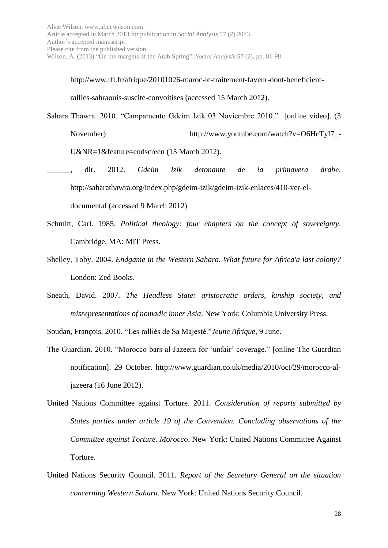http://www.rfi.fr/afrique/20101026-maroc-le-traitement-faveur-dont-beneficient-

rallies-sahraouis-suscite-convoitises (accessed 15 March 2012).

Sahara Thawra. 2010. "Campamento Gdeim Izik 03 Noviembre 2010." [online video]. (3

November) http://www.youtube.com/watch?v=O6HcTyI7\_

U&NR=1&feature=endscreen (15 March 2012).

- \_\_\_\_\_\_, dir. 2012. *Gdeim Izik detonante de la primavera árabe*. http://saharathawra.org/index.php/gdeim-izik/gdeim-izik-enlaces/410-ver-eldocumental (accessed 9 March 2012)
- Schmitt, Carl. 1985. *Political theology: four chapters on the concept of sovereignty*. Cambridge, MA: MIT Press.
- Shelley, Toby. 2004. *Endgame in the Western Sahara. What future for Africa'a last colony?* London: Zed Books.
- Sneath, David. 2007. *The Headless State: aristocratic orders, kinship society, and misrepresentations of nomadic inner Asia*. New York: Columbia University Press.

Soudan, François. 2010. "Les ralliés de Sa Majesté."*Jeune Afrique*, 9 June.

- The Guardian. 2010. "Morocco bars al-Jazeera for 'unfair' coverage." [online The Guardian notification]. 29 October. http://www.guardian.co.uk/media/2010/oct/29/morocco-aljazeera (16 June 2012).
- United Nations Committee against Torture. 2011. *Consideration of reports submitted by States parties under article 19 of the Convention. Concluding observations of the Committee against Torture. Morocco*. New York: United Nations Committee Against Torture.
- United Nations Security Council. 2011. *Report of the Secretary General on the situation concerning Western Sahara*. New York: United Nations Security Council.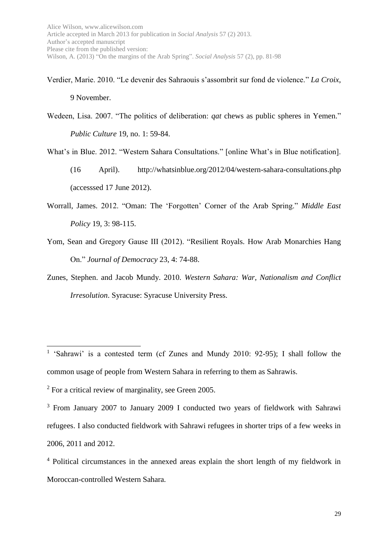Verdier, Marie. 2010. "Le devenir des Sahraouis s'assombrit sur fond de violence." *La Croix*, 9 November.

- Wedeen, Lisa. 2007. "The politics of deliberation: *qat* chews as public spheres in Yemen." *Public Culture* 19, no. 1: 59-84.
- What's in Blue. 2012. "Western Sahara Consultations." [online What's in Blue notification].
	- (16 April). http://whatsinblue.org/2012/04/western-sahara-consultations.php (accesssed 17 June 2012).
- Worrall, James. 2012. "Oman: The 'Forgotten' Corner of the Arab Spring." *Middle East Policy* 19, 3: 98-115.
- Yom, Sean and Gregory Gause III (2012). "Resilient Royals. How Arab Monarchies Hang On." *Journal of Democracy* 23, 4: 74-88.
- Zunes, Stephen. and Jacob Mundy. 2010. *Western Sahara: War, Nationalism and Conflict Irresolution*. Syracuse: Syracuse University Press.

1

<sup>&</sup>lt;sup>1</sup> 'Sahrawi' is a contested term (cf Zunes and Mundy 2010: 92-95); I shall follow the common usage of people from Western Sahara in referring to them as Sahrawis.

<sup>2</sup> For a critical review of marginality, see Green 2005.

<sup>&</sup>lt;sup>3</sup> From January 2007 to January 2009 I conducted two years of fieldwork with Sahrawi refugees. I also conducted fieldwork with Sahrawi refugees in shorter trips of a few weeks in 2006, 2011 and 2012.

<sup>4</sup> Political circumstances in the annexed areas explain the short length of my fieldwork in Moroccan-controlled Western Sahara.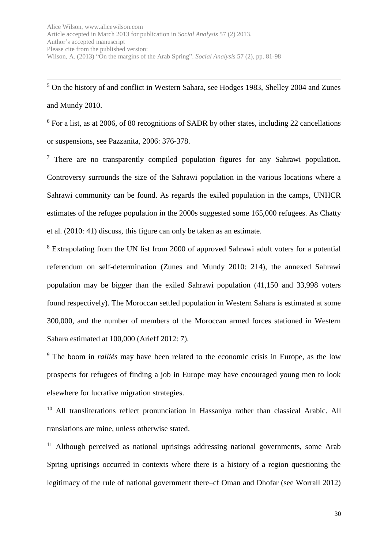1 <sup>5</sup> On the history of and conflict in Western Sahara, see Hodges 1983, Shelley 2004 and Zunes and Mundy 2010.

<sup>6</sup> For a list, as at 2006, of 80 recognitions of SADR by other states, including 22 cancellations or suspensions, see Pazzanita, 2006: 376-378.

 $<sup>7</sup>$  There are no transparently compiled population figures for any Sahrawi population.</sup> Controversy surrounds the size of the Sahrawi population in the various locations where a Sahrawi community can be found. As regards the exiled population in the camps, UNHCR estimates of the refugee population in the 2000s suggested some 165,000 refugees. As Chatty et al. (2010: 41) discuss, this figure can only be taken as an estimate.

<sup>8</sup> Extrapolating from the UN list from 2000 of approved Sahrawi adult voters for a potential referendum on self-determination (Zunes and Mundy 2010: 214), the annexed Sahrawi population may be bigger than the exiled Sahrawi population (41,150 and 33,998 voters found respectively). The Moroccan settled population in Western Sahara is estimated at some 300,000, and the number of members of the Moroccan armed forces stationed in Western Sahara estimated at 100,000 (Arieff 2012: 7).

<sup>9</sup> The boom in *ralliés* may have been related to the economic crisis in Europe, as the low prospects for refugees of finding a job in Europe may have encouraged young men to look elsewhere for lucrative migration strategies.

<sup>10</sup> All transliterations reflect pronunciation in Hassaniya rather than classical Arabic. All translations are mine, unless otherwise stated.

 $11$  Although perceived as national uprisings addressing national governments, some Arab Spring uprisings occurred in contexts where there is a history of a region questioning the legitimacy of the rule of national government there–cf Oman and Dhofar (see Worrall 2012)